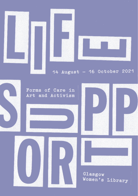

# 14 August - 16 October 2021

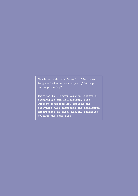*How have individuals and collectives imagined alternative ways of living and organising?*

**Inspired by Glasgow Women's Library's communities and collections, Life Support considers how artists and activists have addressed and challenged experiences of care, health, education, housing and home life.**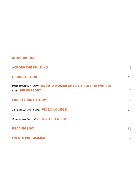| <b>INTRODUCTION</b>                                                         | 4  |
|-----------------------------------------------------------------------------|----|
| <b>ACROSS THE BUILDING</b>                                                  | 8  |
| <b>GROUND FLOOR</b>                                                         | 10 |
| Conversation with UBUNTU WOMEN SHELTER, ALBERTA WHITTLE<br>and LIFE SUPPORT | 17 |
| <b>FIRST FLOOR GALLERY</b>                                                  | 24 |
| If You Lived Here VIDEO LOUNGE                                              | 27 |
| Conversation with OLIVIA PLENDER                                            | 29 |
| <b>READING LIST</b>                                                         | 32 |
| <b>EVENTS PROGRAMME</b>                                                     | 34 |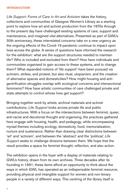# **INTRODUCTION**

*Life Support: Forms of Care in Art and Activism* takes the history, collections and communities of Glasgow Women's Library as a starting point to explore how art and activist production from the 1970s through to the present day have challenged existing systems of care, support and maintenance, and imagined vital alternatives. Presented as part of GWL's 30th anniversary, these interrelated concerns take on a new urgency as the ongoing effects of the Covid-19 pandemic continue to impact upon lives across the globe. A series of questions have informed the research for the exhibition: what are the support structures needed to maintain life? Who is included and excluded from them? How have individuals and communities organised to gain access to these systems, and to change them? What expanded notions of 'life support' have been pursued via activism, strikes, and protest, but also ritual, utopianism, and the creation of alternative spaces and domesticities? How might housing and antigentrification struggles overlap with ecological concerns and intersectional feminisms? How have artistic communities of care challenged private and state attempts to control whose lives get support?

Bringing together work by artists, archival materials and activist contributions, *Life Support* looks across private life and public infrastructures. With a focus on the intersections between feminist, queer, anti-racist and decolonial thought and organising, the practices gathered here engage with housing, health, and pedagogy, while encompassing myriad themes including ecology, domesticity, food, memorialisation, nurture and sustenance. Rather than drawing clear distinctions between 'art' and 'activism', and between the 'abstract' and the 'political,' *Life Support* seeks to challenge divisions between them. We hope that the result provides a space for feminist thought, reflection, and also action.

The exhibition opens in the foyer with a display of materials relating to GWL's history, drawn from its own archives. Three decades after its founding in 1991, these items afford an opportunity to think about the ways in which GWL has operated as an indispensable feminist resource, providing physical and intangible support for women and non-binary people in a variety of different ways. This centring of the library itself is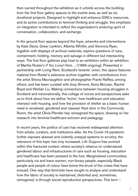then carried throughout the exhibition as it unfolds across the building, from the first floor gallery spaces to the events area, as well as via durational projects. Designed to highlight and enhance GWL's resources, and its active contributions to feminist thinking and struggle, this emphasis on integration is intended to reflect the organisation's enduring spirit of conversation, collaboration, and exchange.

In the ground floor spaces beyond the foyer, artworks and interventions by Kate Davis, Greer Lankton, Alberta Whittle, and Veronica Ryan, together with displays of archival materials, explore questions of care, containment, holding, memory and salvage in different but intersecting ways. The first floor galleries play host to an exhibition within an exhibition of Martha Rosler's *If You Lived Here…* (1989-ongoing). Presented in partnership with Living Rent, Scotland's tenants' union, this space features material from Rosler's extensive archive together with contributions from the artist Shona Macnaughton and photographer Franki Raffles, among others, and has been curated with Joey Simons, Keira McLean, Rachel Boyd and Weitian Liu. Making connections between housing struggles in Scotland and transnationally, this collage of voices and perspectives asks us to think about how we define 'home', how healthcare and education intersect with housing, and how the provision of shelter as a basic human need is racialised, gendered and classed. Next door in the Community Room, the artist Olivia Plender has reimagined the space, drawing on her research into feminist healthcare activism and pedagogy.

In recent years, the politics of care has received widespread attention from artists, curators, and institutions alike. As the Covid-19 pandemic further exposes skewed and violently unequal systems to scrutiny, the relevance of this topic has only increased. *Life Support* has evolved within this fractured context, where society's reliance on undervalued gendered labour and infrastructures of care such as housing, education and healthcare has been pressed to the fore. Marginalised communities, particularly cis and trans women, non-binary people, especially Black people and people of colour have borne the brunt of the crises that have ensued. One way that feminists have sought to analyse and understand how the fabric of society is maintained, distorted and, sometimes, reimagined, is through social reproduction perspectives. This term –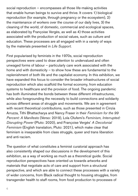social reproduction – encompasses all those life-making activities that enable human beings to survive and thrive. It covers 1) biological reproduction (for example, through pregnancy or the ecosystem), 2) the maintenance of workers over the course of our daily lives, 3) the cleaning of the world, of domestic, commercial and ecological spaces, as elaborated by Françoise Vergès, as well as 4) those activities associated with the production of social values, such as culture and education. These processes are all engaged with in a variety of ways by the materials presented in *Life Support.* 

First popularised by feminists in the 1970s, social reproduction perspectives were used to draw attention to undervalued and often unwaged forms of labour – particularly care work associated with the home and with domesticity – to show how these are fundamental to the replenishment of both life and the capitalist economy. In this exhibition, we have expanded this focus to consider the broader infrastructures of social reproduction which also scaffold the formal economy, from education systems to healthcare and the provision of food. The ongoing pandemic has both illuminated the bonds between these different infrastructures, while also foregrounding the necessity to build connections and solidarity across different areas of struggle and movements. We are in agreement with recent theoretical contributions, such as those presented in Cinzia Arruzza, Tithi Bhattacharya and Nancy Fraser in their *Feminism for the 99 Percent: A Manifesto* (Verso: 2019), Lola Olufemi's *Feminism, Interrupted: Disrupting Power* (Pluto: 2020), and Françoise Vergès' *A Decolonial Feminism* (English translation, Pluto: 2021), which make clear that feminism is inseparable from class struggle, queer and trans liberation and anti-racism.

The question of what constitutes a feminist curatorial approach has also consistently shaped our discussions in the development of this exhibition, as a way of working as much as a theoretical guide. Social reproduction perspectives have oriented us towards artworks and materials that negotiate acts of care and support from a structural perspective, and which are able to connect these processes with a variety of wider concerns, from Black radical thought to housing struggles, from transgender health to staff rooms, from food production to processes of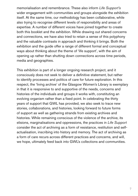memorialisation and remembrance. These also inform *Life Support's*  wider engagement with communities and groups alongside the exhibition itself. At the same time, our methodology has been collaborative, while also trying to recognise different levels of responsibility and areas of expertise. A number of different voices have joined together to create both this booklet and the exhibition. While drawing out shared concerns and connections, we have also tried to retain a sense of this polyphony and the valuable contrasts in approach and thinking it brings. Both the exhibition and the guide offer a range of different formal and conceptual ways about thinking about the theme of 'life support', with the aim of opening up rather than shutting down connections across time periods, media and geographies.

This exhibition is part of a longer ongoing research project, and it consciously does not seek to deliver a definitive statement, but rather to identify processes and politics of care for future exploration. In this respect, the 'living archive' of the Glasgow Women's Library is exemplary in that it is responsive to and supportive of the needs, concerns and histories of the individuals and groups it works with, constituting an evolving organism rather than a fixed point. In celebrating the thirty years of support that GWL has provided, we also seek to trace new stories, collaborations, and histories, looking forward to future forms of support as well as gathering strands from existing archives and histories. While remaining conscious of the violence of the archive, its elisions, marginalisations and oppressions, the practices in *Life Support*  consider the act of archiving as a form of resistance, restitution and selfactualisation, inscribing into history and memory. The act of archiving as a form of care recurs across different practices and concerns, and will, we hope, ultimately feed back into GWL's collections and communities.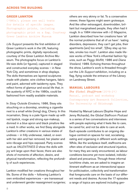#### **GREER LANKTON**

(1980s); please see wall texts for details of specific images. Photographic prints, including photographic print on a flag. Courtesy Greer Lankton Archive Museum

*Life Support* presents the first exhibition of Greer Lankton's work in the UK, featuring photographic prints, digitally reproduced, courtesy of the Greer Lankton Archive Museum. The photographs focus on Lankton's life-size dolls (or figures), captured in staged and constructed everyday scenes – in New York City, and sometimes in shop displays. The dolls themselves are layered sculptures made with plaster, wire clothes hangers, fabric and paint, adorned with taxidermy eyes. They reflect forms of glamour and social life that, in the austerity of NYC in the 1980s, could be fashioned from readily available materials.

In *Sissy Outside Einsteins,* 1986, Sissy sits slouching on a doorstep, smoking a cigarette next to a small white (living) dog, Cherry. In this incarnation, Sissy is a pale figure made up with red lipstick, rouge and strong eye-makeup, donned in a blue apron and black pinafore like a maid. In other works, we find Sissy alongside Lankton's other creations in various states of undress – in frilly underwear, naked, or even with her skin and hair removed, her plaster and wire ribcage and hips exposed. Party scenes such as *VALENTINES D* show the dolls with joy writ large upon their faces; there are also shots of moments of affection, desire, and physical transformation, reflecting the profundity of such experiences.

Lankton modified her creations throughout her life. Some of the dolls – following Lankton's own embodied experiences – are transsexual and underwent gender reassignment surgeries;

others are very skinny or fat. To a conservative viewer, these figures might seem grotesque. And like other extravagant, downtrodden, brilliant but marginalised people, they often had it rough. In a 1984 interview with *i-D Magazine,* Lankton described how her creations have 'all the normal problems that all of us have': 'eating disorders, depression, they can't get jobs, their apartments [are] too small', '[t]hey stay up too late, smoke too much'. Lankton also made lifesize works of New York's influential fashion figures, such as *Peggy Moffitt,* 1986 and *Diana Vreeland,* 1989. Echoing themes throughout the show, Lankton's work is threaded throughout the *Life Support* exhibition, including on a flag, flying outside the entrance of the Library on Landressy Street.

#### **MANUAL LABOURS**

*The Global Staffroom* (2019-21) Manual, podcast and workshop Contemporary Art Research Collection, The University of Edinburgh

Hosted by Manual Labours (Sophie Hope and Jenny Richards), the *Global Staffroom Podcast*  is a series of live conversations and interviews with people exploring what it feels like to care, be cared for, and not be able to care at work. Each episode contributes to an ongoing dialogue centred on spaces for rest, socialising, eating and organising in different work settings. While, like the workplace itself, staffrooms are often sites of exclusion and structural injustice, for many they are rarely encountered, as labour conditions become yet more isolated, individualised and precarious. Through these informal lunchtime chats, we are asked to imagine an itinerant staffroom as an intersectional space for politicisation, collectivity and transformation that foregrounds care on the basis of our different needs and desires. Across the 17 episodes a range of topics are explored including gen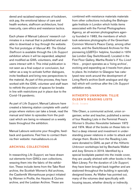dered and racialised experiences of lockdown, sick pay, the emotional labour of care and health workers, staffroom architecture, food insecurity, care ethics and resistance tactics.

Each phase of Manual Labours' research culminates in a manual that is published and available to download or buy through the website. The first prototype of *Manual #5: The Global Staffroom* is available through the *Life Support*  exhibition where it will be expanded, adapted and modified as GWL volunteers, staff and users interact with it. This initial publication is not seen as a final output or conclusion, but rather as a way to activate further dialogues, invite feedback and bring new perspectives to the material. As part of this process, they have worked with the GWL volunteer and staff team to rethink the provision of spaces for breaks in line with restrictions put in place due to the Covid-19 pandemic.

As part of *Life Support*, Manual Labours have created a listening station complete with useful props where visitors can take a break, read the manual and listen to episodes from the podcast which are being re-released on a weekly basis throughout the exhibition.

Manual Labours welcome your thoughts, feedback and questions. Feel free to contact them via their website: manuallabours.co.uk

# **ARCHIVAL COLLECTIONS**

In researching *Life Support,* we have drawn out elements from GWL's own collections, weaving them into the fabric of the exhibition. These include items from the Take Root archive, the Scottish Women's Aid archives, the Castlemilk Womanhouse project initiated by Women in Profile, the *Harpies & Quines* archive, and the Lesbian Archive. These are

combined with resistance materials materials from other collections including the Bishopsgate Institute in London which holds items associated with the Format Photographers Agency, an all-women photographers agency founded in 1983, the members of which took extensive photographs of the Greenham Common Women's Peace Camp, among other events, and the Switchboard Archives for this pioneering LGBTQ+ helpline, founded in 1974 (as London Gay Switchboard). Located in the First Floor Gallery, Martha Rosler's *If You Lived Here…* project operates as a 'living archive', evolving and expanding as it travels from place to place. Its invitation to Glasgow has catalysed new work around the development of Living Rent's archive (both analogue and digital) which will continue after the *Life Support* exhibition ends.

# **HITHERTO UNKNOWN: TILLIE OLSEN'S READING LISTS**

Book boxes

Tillie Olsen, a communist activist, union organiser, writer and teacher, published a series of four Reading Lists in the Feminist Press's *Women's Studies Newsletter* between 1972 and 1974. Most of the books on these lists reflect a deep interest and investment in understanding power relations in order to attack and change them. Books from the Reading Lists were donated to GWL as part of the *Hitherto Unknown* workshops led by Bechaela Walker and Joey Simons in 2019. Identified by a special bookplate pasted into the inside cover, they are usually shelved with other books in the Main Library. For the duration of *Life Support*, they have been brought back together and are stationed throughout the building in specially designed boxes. As Walker has pointed out, many of the volumes deal specifically with housing issues, whether directly or indirectly.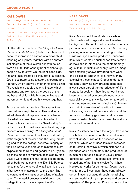#### **GROUND FLOOR**

#### **KATE DAVIS**

*The Glory of a Great Picture is in its Shame I* (2012). Pencil on paper, digital pigment fine art print. Contemporary Art Research Collection, The University of Edinburgh

On the left-hand side of *The Glory of a Great Picture is in its Shame I,* Kate Davis has used pencil to reproduce a sketch of a small child standing on a plinth, together with an anatomical diagram of the skeleton beneath, taken from an 18th/19th century book which taught people how to draw. On the right-hand side, the artist has created a silhouette of a classical Greek sculpture using a stock advertising photograph, which shows a mother holding a child. The result is a deeply uncanny image, which fragments and re-makes the bodies of the mother and child, while bringing stillness and movement – life and death – close together.

Across her artistic practice, Davis questions how histories might be re-written, and established ideas about representation challenged. The artist has described how: 'My artwork often contests the notion of a "hard history" in order to claim the past as a critical and ongoing process of revisioning'. *The Glory of a Great Picture is in its Shame I* contrasts the detailed, static diagram of the child and the living, breathing bodies in the collage. Yet stock imagery of the kind Davis uses here often reinforces stereotypes about families and gender roles. By placing these modes of representation side by side, Davis's work questions the ideologies perpetrated by both. At the same time, Dominic Paterson notes that, 'at the heart of what Kate tries to do in her work is an aspiration to the drawn line as cutting and joining at once, a kind of radical care'. The material processes of drawing and collage thus also have a reparative effect.

#### 10

## **KATE DAVIS**

*Charity* (2017) Print. Contemporary Art Research Collection, The University of Edinburgh

Kate Davis's print *Charity* shows a white plastic milk carton against a black marbled background. The outline of the carton contains part of a pencil reproduction of a 16th century painting of a woman breastfeeding a baby. Davis overlays a mass-produced household item, which contains sustenance from farmed animals and is intrinsic to the contemporary agricultural-industrial economy, with an image that ostensibly shows unwaged care work or a so-called 'labour of love.' However, by overlaying these images *Charity* undercuts the latter, showing how breastfeeding has always been part of the reproduction of life in a capitalist society. It has throughout history been outsourced by more privileged women, especially by wealthy white women to working class women and women of colour. Childcare and nutrition are sites of significant power imbalance, misogynist condemnation, and the formation of deeply gendered and racialised power constructs which circumscribe and limit notions of parental care.

In a 2017 interview about the larger film project which this print relates to, the artist described how: '*Charity* builds on the essence of my practice, which often uses feminist approaches to rethink the ways in which histories are produced and perpetuated. The production of human milk to feed babies is usually unrecognised as "work" – in economic terms it is unpaid and of no financial value. Yet it has inspired artworks for centuries. *Charity* was a way for me to investigate these contradictory determinations of value through the fallibility and subjectivity of my art practice and personal experience.' The print that Davis made touches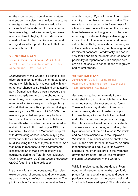on the experiences of containment, nurture and support, but also the significant pressures, stereotypes and inequalities embedded into constructs of the maternal. It draws attention to an everyday, overlooked object, and uses a feminist lens to highlight the wider social infrastructure of often unacknowledged and unwaged socially reproductive acts that it is intrinsically part of.

### **VERONICA RYAN**

*Lamentations in the Garden* (2000) Acrylic on silver bromide prints. Arts Council Collection

*Lamentations in the Garden* is a series of five silver bromide prints of the same repeated photograph, which the artist has overlaid with abstract oval shapes using black and white acrylic paint. Sometimes, these partially obscure the two young girls pictured in the photograph; other times, the shapes veil them entirely. These mixed media pieces are part of a larger body of work that Veronica Ryan produced during a residency at Tate St Ives in 1998–2000. The residency provided an opportunity for Ryan to reconnect with the sculpture of Barbara Hepworth, which she had first encountered as a student. Prior to the residency in 1995, the Soufrière Hills volcano in Montserrat erupted with devastating consequences, burying the lower half of the Caribbean island in ash and mud, including the city of Plymouth where Ryan was born. In response to this environmental disaster, the artist made two reliquary-like sculptures during the Tate St Ives residency, *Quoit Montserrat* (1998) and *Mango Reliquary* (2000) (both in the Tate collection).

In parallel with the two sculptures, Ryan also explored using photographs and acrylic paint as another way to reflect on these events. The photograph in *Lamentations in the Garden* is

a family image of Ryan with one of her sisters, standing in their back garden in London. The work is in part a response to Ryan's loss of siblings to suicide, meditating on the connections between individual grief and collective mourning. The abstract shapes also suggest ideas of protection, containment, and preservation. Recently, Ryan has started working with volcanic ash as a material, and has long noted its mineral richness: 'Paradoxically this ash is very fertile and from the destruction comes the possibility of regeneration'. The shapes here are also infused with connotations of regrowth and re-emergence.

#### **VERONICA RYAN**

*Particles* (2017) Mixed media. Wakefield Permanent Art Collection (The Hepworth Wakefield).

*Particles* is a tall structure made from a metal shelving unit, onto which the artist has arranged several abstract sculptural forms. These include a tray divided into repeating compartments, stacks of cushions or pillow-like items, a knotted ball of scrunched and ruffled fabric, and fragments that suggest the outer cases of seed pods, nuts or shells. This work was made during a residency that Ryan undertook at the Art House in Wakefield, and co-commissioned with the Hepworth Wakefield – a museum which celebrates the work of the artist Barbara Hepworth. As such, it continues the dialogue with Hepworth's sculpture that Ryan explored in the work that developed from the Tate St Ives residency, including *Lamentations in the Garden*.

While in residence at the Art House, Ryan conducted research at a nearby psychiatric prison for high security inmates and became particularly interested in the padded cell and 'that kind of insulated space'. The pillow-forms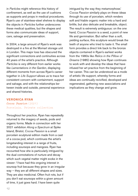in *Particles* might reference this history of confinement, as well as the use of cushions as supports and props in medical procedures. Ryan's use of stainless-steel shelves to display the objects in *Particles* further underscores these medical qualities, but the shapes and forms also communicate ideas of support, care, salvage and preservation.

In 2004, a large amount of Ryan's work was destroyed in a fire at the Momart storage unit in London. This major loss has obscured the significant connections and continuities across 40 years of the artist's practice. Although *Particles* is very different from earlier works like *Lamentations in the Garden*, displaying different moments from across Ryan's career together in *Life Support* allows us to trace her consistent concern with containment, support and salvage, and with the relationships between inside and outside, personal experience and shared histories.

intrigued by the way they metamorphose.' *Cocoa Passion* similarly plays on these ideas through its use of porcelain, which renders soft and friable organic matter into a hard and brittle, but also delicate and breakable, object. The result is extremely ambiguous: on the one hand, *Cocoa Passion* is a seed, a point of new life and germination. But rather than a soft, yielding surface, this sculpture would break the teeth of anyone who tried to taste it. The small form provides a direct link back to the bronze objects contained in Ryan's earliest works from the 1980s like *Relics in the Pillow of Dreams* (1985) showing how Ryan continues to work with and develop the ideas that have infused her art practice from the beginning of her career. This can be understood as a mode of artistic life support, whereby forms and ideas are continually revivified, developed and regenerated, gathering new associations and implications as they change and grow.

# **VERONICA RYAN**

*Cocoa Passion* (2021) Porcelain. Private collection

Throughout her practice, Ryan has repeatedly returned to the imagery of seeds, pods and organic forms. Made in connection with her 2021 exhibition *Along a Spectrum* at Spike Island, Bristol, *Cocoa Passion* is a small porcelain sculptural edition made from a cast of a cocoa pod, which continues the artist's longstanding interest in a range of fruits, including soursops and mangoes. Ryan has recounted how she is particularly intrigued by the dual connotations of nurture and decay which such vegetal matter might evoke in the viewer: 'I have had this ongoing interest in soursop fruit because they grow in an irregular way – they are all different shapes and sizes. They are also medicinal. Often fruit rots, but if you don't eat soursops within a given amount of time, it just goes hard. I have been quite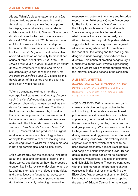Alberta Whittle's close engagement with *Life Support* follows several intersecting paths. As well as producing a new floor sculpture for display amongst existing works, she is collaborating with Ubuntu Women Shelter on a durational project which will include a residency at GWL later in 2021. More information on Ubuntu's work and this partnership can be found in the conversation included in this booklet. The *Life Support* exhibition has also afforded Whittle an opportunity to present her series of three recent film*s HOLDING THE LINE: a refrain in two parts, business as usual: hostile environment (a remix)*, and *RESET* simultaneously under the working title *Creating dangerously (we-I insist!)*. Discussing this development of this series over the past year and a half, Whittle has said:

'After a devastating eighteen months of socio-political catastrophe, *Creating dangerously (we-I insist!)* speculates on the optics of protest, channels of refusal, as well as the desire for pleasure and softness. The title of the trilogy entangles research by Edwidge Danticat on the potential for creative action to become a communion between audience and maker, with the title of Max Roach's album *We Insist: Max Roach's Freedom Now Suite*  (1960). Researched and produced as urgent meditations on freedom, this trilogy of films attempts to straddle a sense of looking back and looking forward whilst still being immersed in both epidemiological and political strife.'

*Life Support* provides the chance to think both about the ideas and concerns of each of the these works, but also about how the process of creation itself – its revisions, developments, edits and transformations – bridges the individual and the collective in fundamental ways, constituting an act of care and support in its own right, while constantly balancing the need for

response and action with memory and historical record. In her 2010 essay 'Create Dangerously: The Immigrant Artist at Work' from which the trilogy takes its name, Danticat asserts: 'there are many possible interpretations of what it means to create dangerously, and Albert Camus, like the poet Osip Mandelstam, suggests that it is creating as a revolt against silence, creating when both the creation and the reception, the writing and the reading, are dangerous undertakings, disobedience to a directive.' This notion of creating dangerously is fundamental to the work Whittle is presenting for *Life Support*, while weaving through many of the interventions and actions in the exhibition.

# **ALBERTA WHITTLE**

*HOLDING THE LINE: a refrain in two parts* (2020-21) Digital video, 21 minutes. Courtesy the artist and Copperfield London

*HOLDING THE LINE: a refrain in two parts*  shows starkly divergent approaches to the act of holding. It contrasts state-sanctioned police violence and its maintenance of white supremacist, neo-colonial containment, with the softness of touch, cradling, mutual support, and group solidarity. Whittle's film incorporates footage taken from body cameras and phones during invasive and aggressive police stop and search during lockdown. This explicitly racist apparatus of control, which continues to be used disproportionately against Black people and people of colour amidst the Covid-19 pandemic, relies on hard bodies for its execution: armoured, weaponised, encased in uniforms and high-visibility jackets. These are contrasted with the fluid movement of protesters shown coalescing in rivers of resistance during the Black Lives Matter protests of summer 2020, including the moment when activists toppled the statue of Edward Colston into the waters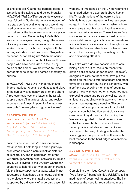of Bristol docks. Countering barriers, borders, systemic anti-blackness and police brutality, *HOLDING THE LINE* foregrounds waywardness, following Saidiya Hartman's evocation of this state as: 'the avid longing for a world not ruled by master, man or the police. The errant path taken by the leaderless swarm for a place better than here.' Sound is key to Whittle's invocation of waywardness, though the refrain of a sharp-sweet note generated on a quick intake of breath, which then mingles with the moving exhortations of protestors: "No justice, no peace." "Stop killing us." When the sound ceases, and the names of the Black and Brown people who have been killed in the UK by police fill the screen, we are invited to remember together, to keep their names constantly on our lips.

In *HOLDING THE LINE*, hands touch and fingers interlace. A small boy dances and plays in the surf as waves gently break on the shore. A protester swerves and leaps in the air with supple grace. All manifest refusal and resistance using softness, in pursuit of what Hartman calls 'the everyday struggle to live free'.

# **ALBERTA WHITTLE**

*business as usual: hostile environment (a remix)* (2020-21) Digital video, 36 minutes. Contemporary Art Research Collection, The University of Edinburgh

*business as usual: hostile environment (a remix)* is about both long and short journeys over water. It takes a careful look at histories of immigration, and in particular that of the Windrush generation, who, between 1948 and 1971, were invited to the UK from Caribbean countries to help fill post-war labour shortages. Via this history *business as usual* takes infrastructures of healthcare as its focus, pointing to the places where this fragile ecosystem, supported by a diversity of underpaid essential

workers, is threatened by the UK government's continued drive to place profit above human life. Through the lens of the current crisis, Whittle brings our attention to lives less seen, navigating hostile environments fashioned over a long time through imperial imaginations and violent austerity measures. These lives surface in different forms, as a reasoned text, an anxious digital rendering, in intimate conversations and emotive dance scenes, and through voices that shatter 'respectable' lines of silence drawn around them as subjects, resonating deeply and demanding attention.

It is a film with a double consciousness combining a sharp critical focus on recent immigration policies (and longer colonial legacies), designed to exclude those who have put their bodies on the line to offer healthcare and other forms of life support during the pandemic, with a softer view, showing moments of poetry as people move with each other in found footage, expressing grace and poise as well as joy. In amidst this grappling with history and memory a small boat navigates a canal in Glasgow, once part of a support structure for colonial systems, now holding figures at play, sisters doing what they do, and adults guiding them. We are also quided by the different voices in the film, asked both to rebel and resist violent policies but also to give thanks and find hope collectively. Ending with water the film suggests that perhaps its softness is the best response to the hard edges of manmade landscapes.

#### **ALBERTA WHITTLE**

*RESET* (2020) Digital video, 32 minutes. Courtesy the artist and Copperfield London

Completing the trilogy *Creating dangerously (we-I insist!)*, Alberta Whittle's *RESET* is a film meditation of deep healing practices. The film addresses the need for reparative softness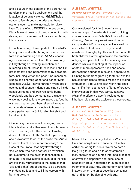and pleasure in the context of the coronavirus pandemic, the hostile environment and the legacies of colonial violence. *RESET* holds space to feel through the grief that these systems seem to make inevitable for black lives. To this effect, *RESET* immerses us into Black feminist dreams of deep connection with desire, and communion with ancestors through black oceans.

From its opening, close-up shot of the artist's face, juxtaposed with photographs of ancestors and a swimming snake, *RESET* encourages viewers to connect into their own body, initially through breathing, reflection and humming. Structured as three lessons, the film presents texts and performances by collaborators, including writer and poet Ama Josephine Budge and choreographer and dancer Mele Broomes. *RESET* moves through hypnogogic scenes and sounds – dance and singing inside spacious rooms and archives, amid burnt woodlands and beside fountains. Ululations – wavering vocalisations – are invoked to 'soothe withered hearts', and then reflected in drawn out sounds of resonant electronic horns in a score performed by St Mozelle, that shift and bend in pitch.

Connecting the waves within singing, within Black bodies, and within seas, through dreams, *RESET* is charged with currents of solitary desire. It reflects into the 'well of replenishing and provocative force' of the erotic that Audre Lorde writes of in her important essay 'The Uses of the Erotic', that may flow through 'the woman who does not fear its revelation, nor succumb to the belief that sensation is enough'. The revelations spoken of in the film are strikingly represented in the marbles that 'slip and slither' out of bodies, to be caressed with dancing feet, and to fill the screen with burning colours.

#### **ALBERTA WHITTLE**

*stormy weather skylarking* (2021) Urethane resin. Courtesy the artist and Copperfield London

Commissioned for *Life Support*, *stormy weather skylarking* extends the soft, uplifting spaces opened up in Whittle's trilogy of films *Creating dangerously (we-I insist!)* out to incorporate GWL's floor space. Here visitors are invited to find their own rhythm and resistance through play. This sculpture riffs off both children's street games and the practice of laying out placeholders for teaching new dances while also hinting at the imposition of other, more oppressive rules and spatial delineations abundant in colonial apparatuses. Pointing to the transgressing footprint, Whittle has said that dance offers a means of evading entrapment, a refusal to 'stay within the lines' as it shifts from set moves to flights of creative improvisation. In this way, *stormy weather skylarking* offers a powerful resistance to inherited rules and the exclusions these create.

#### **ALBERTA WHITTLE**

*Celestial Meditations II* (2018) *Meditations on Welcome* (2018) *C is for Colonial Fantasy* (2017) Digital prints. Contemporary Art Research Collection, The University of Edinburgh

Many of the themes negotiated in Whittle's films and sculptures are anticipated in this earlier set of digital prints. Water as both a life-giving force and a site of catastrophic loss, shorelines as haunted intermedial spaces of arrival and departure and questions of hospitality are all negotiated through collaged fragments of drawings, photography and found imagery which the artist describes as 'a mash up' of different bodies of knowledge.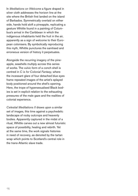In *Meditations on Welcome* a figure draped in silver cloth addresses the horizon line at the site where the British first landed on the island of Barbados. Symmetrically overlaid on either side, hands hold aloft a pineapple, replicating a gesture Whittle found in a painting of Columbus's arrival in the Caribbean in which the indigenous inhabitants held the fruit in the air, apparently as a sign of welcome to their European colonisers. By symbolically reproducing this myth, Whittle punctures the sanitised and erroneous version of history it perpetuates.

Alongside the recurring imagery of the pineapple, seashells multiply across this series of works. The vulvic form of a conch shell is centred in *C is for Colonial Fantasy*, where the incessant glare of four detached blue eyes frame repeated images of the artist's splayed body positioned around the shell's opening. Here, the trope of hypersexualised Black bodies is set in explicit relation to the exhausting pressures of the male gaze and the realities of colonial experience.

*Celestial Meditations II* draws upon a similar set of images, this time against a psychedelic landscape of rocky outcrops and heavenly bodies. Apparently captured in the midst of a ritual, Whittle carves out a new almost futuristic space of possibility, healing and rebirth. Yet at the same time, the work signals histories in need of recovery, as denoted by the tartan wrap which points to Scotland's central role in the trans-Atlantic slave trade.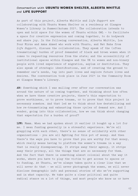# *Conversation with* **UBUNTU WOMEN SHELTER, ALBERTA WHITTLE**  *and* **LIFE SUPPORT**

As part of this project, Alberta Whittle and *Life Support* are collaborating with Ubuntu Women Shelter on a residency at Glasgow Women's Library in Summer/Autumn 2021. The collaboration intends to open and hold space for the women of Ubuntu within GWL – to facilitate a space for creative expression and coming together, to do bodywork and share joy. In the following conversation, Alberta Whittle, Loa Pour Mirza and Amna Ahmed who work with Ubuntu, and Nat Raha from *Life Support*, discuss the collaboration. They speak of the (often traumatising) burden of proof demanded of black and brown women when it comes to requesting resources from the state; and the accessibility of institutional spaces within Glasgow and the UK to women and non-binary people with lived experience of migration, asylum or destitution. They also speak of strategic identifications, and of creating the ground to remember one's needs, tap into past lives and explore future lives and desires. The conversation took place in June 2021 in the Community Room at Glasgow Women's Library.

**AW:** Something which I was mulling over after our conversation was around the nature of us coming together, and thinking about how often when we have these creative projects, there's this expectation to prove worthiness, or to prove trauma, or to prove that this project is necessary somehow. And that led me to think about how destabilising and how re-traumatising and exhausting those cycles of demand are. And I wonder, going into this collaboration, how we can think about changing that expectation for a burden of proof?

**LPM:** Mmmm. When we had spoken about it earlier it bought up a lot for me. I mean funding generally is a stressful experience. We're all grappling with each other, there's no sense of solidarity with other organisations – you are all fighting for this pot of money. And then there's the ways you have to prove that you are worthy for that money, which really means having to platform the women's trauma in a way that is really disempowering. It strips away their agency, it strips away their privacy, all the things that are so necessary for them. And the fact that there is something almost colonial about the way it works, where you have to play the victim to get access to spaces or to funding. At Ubuntu, we've always taken quite a clear line that we will never do that – we will never photograph the women, we will never disclose demographic info and personal stories of who we're supporting and in what capacity. We take quite a clear political and quite radical stance on a lot of things, and most people who know us or have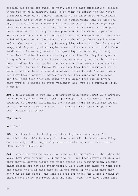reached out to us are aware of that. There's this expectation, because we're set up as a charity, that we're going to embody the way these structures want us to behave, which is to be these sort of corporate charities, and it goes against the way Ubuntu works. And so when you say it's a fluid conversation and it can go where it needs to go and there are no expectations – that's how we like to work and that puts less pressure on us, it puts less pressure on the women to perform. Another thing that you see, and we did our own research on it, was that a lot of the women's identities are now shaped by their legal status. And so what ends up happening is everything else about them is stripped away, and they are just an asylum seeker, they are a victim. All these words are – in so many ways – disempowering. We want to pull away from that. I think there's something about them claiming the space at Glasgow Women's Library as themselves, as who they want to be in this space, rather than as asylum seeking women or as migrant women with no recourse to public funds. Pulling away from that language that is usually what we have to use when we are trying to get funding. How we can give them a sense of agency about how they wanna use the space, and the identities they can bring to the space that can go beyond just "you're a victim of state violence" and "you're a survivor of x, y and z".

**AW:** I'm listening to you and I'm writing down these words like privacy, legal status, (well for me) white patronage, and like almost this pressure to perform victimhood, even though there is obviously trauma there. Actually there's a sense of having to make these corporate institutions feel good?

#### **LPM**: Yeah

#### **AA:** Mm-hm

**AW:** That they have to feel good, that they have to somehow feel satisfied, that this is a way for them to derail their accountability for actually, like, supporting these structures, which then create these awful situations?

**AA:** I don't understand how we're supposed to quantify or label what the women have gone through – and the trauma – and then portray it in a way that they've gotten better and these spaces are helping them, because these spaces are not for other people. It's just for them: to take from the space; the work that they do in the space or the work that they don't do in the space; and what it does for them. And I don't think it should have to be portrayed in a way that – yes, they have found that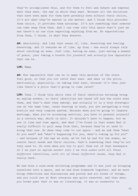they've accomplished this, and for them to feel and behave and express what they want, the way in which they want. Because all the decisions that have been made for them have probably been without their choice, it's not what they've wanted in the matter. And I think this provides them choice, it provides them autonomy. It's not something that someone can take away from them. And I can come into this space that's just me and there's no one else expecting anything from me. No expectations from them, I think, is what they deserve.

**AW:** Absolutely. And like that sense of, like, deserving and feeling deserving. And it reminds me of like, my Gran – she would always talk about catching an ease. Just like, having an ease, just having a moment of peace, just taking a breath for yourself and actually how impossible that can be.

#### **LPM:** Mmmm

**AW:** How impossible that can be to make this machine of the state feel good, so that you *can* catch that ease. And what is the price, emotionally, physically, on taking that ease, because it's then just like there's a price that's going to come later?

**LPM:** Yeah. I think this whole idea of their identities becoming being an asylum seeker, so their identities are based off how the state sees them, and that's what they embody. And actually it is a very strategic one at the same time, cause bearing in mind, you are navigating a very hostile and very complex system. Because when you're going to lawyers meetings, when you're accessing services, you have to present yourself in a certain way, which is shit. It shouldn't have to happen, but we see it time and time again. And what I've found is that women find it really difficult to pull away from that, because they're so used to doing that now. So when they come to our space – and we ask them "what do you need" and "what's happening for you, what's coming up for you" – and because of the way we work, we're led by and for the women, we centre their needs and their choices, that's something that they're not very used to. So even when you try to pull them out of that headspace of *I am just an asylum seeker* into *I am this women with all these different identities, with all of these different needs*, they find it really hard.

We had done a nine-week wellbeing programme and it was just us bringing ourselves into a space, and we had done bodywork together, and we were doing reflections and discussions and poetry and all kinds of things, and you could see at first everyone was quite reserved. And then when you broke past that it was *so* liberating, it was so wonderful to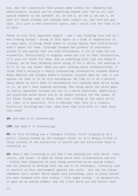see. And the connections that people made within the community was unbelievable, because you're connecting beyond just "we're all just asylum seekers in the system", no, we are x, we are y, we are z, we have all these strands and threads that connect us. And once you get that, it's just a real beautiful space, and I would love for that to be in here.

There is also this important aspect – and I was thinking this now as I was looking around – being in this space is a form of reparations in so many ways, allowing these women to access spaces that historically aren't meant for them. Although Glasgow has pockets of resistance across it and spaces that are more autonomous, a lot of them are not accessible. Particularly to migrant women who sit at that intersection, it's just not there for them. And so something with like the Women's Library, we've been thinking about using it for a while, but wanting to do it on our own terms. When you were talking about infrastructure, I think that's actually a really interesting conversation between Ubuntu Women Shelter and Glasgow Women's Library, because when we like to use spaces, we like it to be *very* autonomous. We like it to be a neutral space where we don't have to necessarily tell anybody what we're doing in it, we don't have anybody watching. The thing about the white gaze is really important because you are in a white structure, physically, and questions arise about how do we ensure privacy for the women. So all those things came to mind, even just looking at the space we're in, like, it's beautiful. It's a reminder that this is a classic, historical building and like, what does that hold with it, what does that mean?

**AW:** And what's it referencing?

**LPM:** And what's it referencing.

**NR:** So this building was a Carnegie Library, built originally as a public library funded by the Carnegie Trust, so it's deeply rooted in those sources of the extraction of wealth and the directions they've travelled in.

**AW:** When I was listening to you and I was hearing you talk about, like, choice, and trust, it made me think about this collaboration and how – within that framework of only being perceived as an asylum seeker, and the nuances of knowing that one has to be strategic, literally just to survive in this environment against the state – how can one almost remember one's needs? Which maybe were preceding, were in place before you were stamped with this status – this legal status – or perspective, or gaze as an asylum seeker. And the lives which you had before that,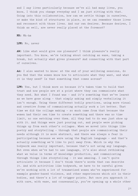and I say lives particularly because we've all had many lives, you know, I think you change everyday and I am just sitting with that. Going into this collaboration, how can we settle things in ourselves, or make the kind of structures in place, so we can remember those lives and reconnect with those lives. And our own desires. Because desires, I think as well, are never really placed at the foremost?

**NR:** Mh-hm

**LPM:** No, never

**AW:** Like what would give one pleasure? I think pleasure's really important. You know, we're talking about catching an ease, taking a break, but actually what gives pleasure? And connecting with that part of ourselves.

**AA:** I also wanted to know: at the end of your wellbeing sessions, do you find that the women know how to articulate what they want, and what it is they need? Is that something that comes across?

**LPM:** Yes, but I think more so because it's taken time to build that trust and now people are at a point where they can communicate what they need. But what I found was – and it's something that we've learnt as we have gone along – that simply asking and simply verbalising it isn't enough. Using these different bodily practices, using more visual and creative forms of communicating actually work a lot better. That time we did the collage making – so much came from that because the women had their own time to create something and there was no time limit, no one watching over them. All they had to do was just show up with it. And things were just pouring out, and people were picking things up from each other's collages. When we moved into things like poetry and storytelling – through that people are communicating their needs although it is more abstract, and there was always a fear in participating because we were using the English language – and that's actually something we'd like to pull away from. Which is why the bodywork was really important, because that's not using any language. But even when we've had to use language, it's also about rethinking what we value in terms of knowledge production, and communicating through things like storytelling – it was amazing. I can't quite articulate it because I don't think there's words that can describe it. And with activities like bodywork, we have to be careful given we're working with a lot of traumatised women who've experienced for example gender-based violence, and other experiences which sit in their bodies, and there's a lot of trigger points. But once you approach it with care, with ease, and consensually, you're opening up a whole other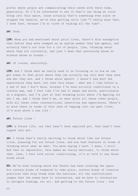portal where people are communicating their needs with their body, physically. So I'd be interested to see if that's one thing we could bring into this space, cause actually that's something ever since we stopped the session, we've been getting calls like "I really miss that, I need that, because I'm so tired of talking all the time".

#### **AW:** Yeah.

**LPM:** When you had mentioned about prior lives, there's this assumption that before they were stamped as an asylum seeker they had agency, and actually that's not true for a lot of people, like, thinking about where they sit culturally, and just I mean that patriarchy knows no borders knows no bounds –

**AW:** of course, absolutely.

**LPM:** And I think what we really need to be focusing on is how we can get women to that point where they can actually tap into what they need and who they are. And I think about myself. I haven't had half the experiences they have, but even this sense – what was I like before x, y and z? And I don't know, because I've been socially conditioned in a certain way, and I feel like I've had to adapt and mould, particularly as a migrant, and I'm just at that breaking point where I'm figuring out who I am. And I think that's me, so what about all these other people, with all these other intersectional identities and experiences. There's so much there in terms of this idea of tapping into our past lives, it's more about a new life –

**AW:** Future lives –

**LPM:** A future life, one that hasn't been explored yet, that hasn't been tapped into yet.

**AW:** I think that's really exciting to think about like our future lives, planning for our future lives, and how that features in terms of thinking about what we want. You know saying *I want*. I mean, I still find that so impossible, this makes me really emotional, to think about that. Like, I feel with social conditioning, it's *so hard* to say those words aloud.

**NR:** We've been talking about how Ubuntu has been creating the space for certain kinds of bodywork to take place, certain kinds of creative practices that help break down the barriers, all the institutional jargon that the women have to internalise, and we have to internalise to navigate funding, etc etc. And getting to the future lives – how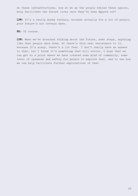do these infrastructures, how do we as the people behind these spaces, help facilitate the future lives once they've been figured out?

**LPM:** It's a really murky terrain, because actually for a lot of people, your future's not certain here.

**NR:** Of course.

**LPM:** When we've broached talking about the future, next steps, anything like that people shut down. So there's this real resistance to it, because it's scary, there's a lot fear. I don't really have an answer to that, but I think it's something that will evolve. I hope that we can get to a point where we have created some kind of community, some level of openness and safety for people to explore that, and to see how we can help facilitate further explorations of that.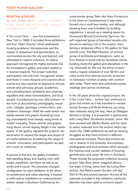#### **FIRST FLOOR GALLERY**

#### **MARTHA ROSLER**

*If You Lived Here…* (1989 – present) Mixed media exhibition and archive Courtesy the artist

*If You Lived Here …* was first presented in New York in 1989. It included three exhibitions and four 'Open Forums' which addressed housing problems, homelessness and the impact of divestment and gentrification on communities across the city and beyond, and attempted to explore solutions. Its radical approach reimagined the highly exclusive Dia Art Foundation's gallery and select audience in several respects. The project solicited participation not only from 'recognized' artists and those in more marginal and counterculture scenes but also reached far beyond to include activist and advocacy groups, academics and schoolteachers, architects and urbanists, squatters and urban homesteaders, and local people. Contributions by over 200 invitees—in the form of documentary photography, woodcuts, collages, paintings, constructions, and children's drawings—filled the walls below real estate adverts and graphs illustrating housing unavailability amid steeply rising levels of wealth inequality. These adverts and graphs, hung above normal display height in the 'waste space' of the gallery, signaled the project's determination to expand the shape and scope of art world exhibitions, broadening the range of artwork, information, and participation accepted in such an institution.

In pursuit of that aim, the gallery included a free-standing library and reading room with books, pamphlets, and flyers as well as art works and a couch. This structure changed configuration for each exhibition. In the show on architecture and urban planning, it housed a coffin and an installation on undocumented worker camps in Southern California by the

cross-border group *Taller des Artes Fronterizos.* In the show on homelessness it was transformed into a multi-bed shelter, and although sleeping there was forbidden by building regulations, it served as a meeting space for Homeward Bound Community Services, the self-organized group of homeless people who served an advisory role in the project, maintaining a temporary office in the gallery for their activist work. The Mad Housers, an activist group of architects and designers, came up from Atlanta to build huts for homeless clients, building inside the gallery and elsewhere in the city. Unusually for the era, the show incorporated a regular schedule of over 30 film and video works from diverse sources, screened on television monitors in areas with comfortable sofas. There were also scheduled poetry readings and various workshops.

In the 30 years since the original project, the *If You Lived Here…* archive has continued to grow and evolve as it has travelled to venues across Europe and North America, accruing new materials along the way. Here at Glasgow Women's Library, it is presented in partnership with Living Rent, Scotland's tenants' union. We have worked with Martha Rosler and her team to select materials from the archive which represent the 1989 exhibitions as well as housing struggles as they have evolved in different international contexts. These documents are set in relation to the artworks, documentary photographs and local archives which excavate the histories and current realities of housing, gentrification and urban life here in Scotland. These include the proposed collective housing project Take Root which imagined alternative ways of living, items from the Living Rent archive, Nat Raha's poem *(london will die)*  (2014/15) and protest banners. Across all the materials included in this exhibition, particular attention has been paid to women's experi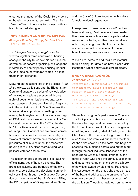ence. As the impact of the Covid-19 pandemic on housing provision takes hold, *If You Lived Here…* offers a timely way to connect with and learn from past struggles.

# **JOEY SIMONS AND KEIRA MCLEAN** *Glasgow Housing Struggle Timeline* (2021). Mixed media

The *Glasgow Housing Struggle Timeline*  weaves together three narratives of housing change in the city to recover hidden histories of women-led tenant organising, challenge the inevitability of contemporary housing inequality, and imagine new futures rooted in a long tradition of resistance.

Drawing on the aesthetics of the original *If You Lived Here…* exhibitions and the Blueprint for Counter-Education, a series of key 'episodes' of housing struggle are presented through archival documents, leaflets, reports, texts, songs, poems, photos and film stills. Beginning with the rent strikes of 1915 in Glasgow, the timeline takes in post-war squatting movements, the Merrylee council housing campaign of 1951, anti-dampness organising in the Gorbals and Easterhouse in the 1970s, the Anti-Poll Tax Unions, and the current organising of Living Rent. Connections are drawn across time and place, as the tactics, demands, and visions of tenants' movements respond to the pressures of slum clearance, the modernist housing revolution, class restructuring, and political victories and defeats.

This history of popular struggle is set against official narratives of housing change. The promises, failures, and betrayals of the city's planners, politicians, and developers are critically examined through the Glasgow Corporation documentaries of the 1940s and 1950s, the PR campaigns of Glasgow's Miles Better

and the City of Culture, together with today's 'transformational regeneration'.

In response to these materials, GWL volunteers and Living Rent members have created their own personal timelines in a participative workshop, reflecting on their own narratives of housing change, and the forces that have shaped individual experiences of eviction, homelessness, ownership and resistance.

Visitors are invited to add their own material to this display: for details on how, please visit lifesupport.wp.st-andrews.ac.uk/participate/

# **SHONA MACNAUGHTON**

*Progressive* (2017)

Performance documentation including photography, audio recording and script booklet. Photography by Matthew Williams. Courtesy of the artist, photographer and the Contemporary Art Research Collection, The University of Edinburgh

Shona Macnaughton's performance *Progressive* took place in Dennistoun in the wake of the state-led regeneration project spurred by the 2014 Commonwealth Games. It began in a building occupied by Market Gallery on Duke Street where the contents of a government-issued 'baby box' were laid out across the floor. As the artist packed up the items, she began to speak to the audience before leading them out through the post-industrial landscape of the East End to Graham Square. Framed by the gates of what was once the agricultural market and labour exchange on one side and a block of new flats owned by Molendinar Park Housing Association on the other, she stood on top of the box and addressed the onlookers. You can hear a recording of her script as part of the exhibition. Though her talk took on the tone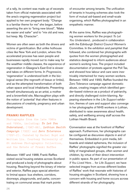of a rally, its content was made up of excerpts taken from official materials associated with the area's ongoing regeneration project but applied to her own pregnant body: "Change is a familiar theme for me" she began, before asserting the aim to "bring new blood", "Make me easier and safer" and to "mix old and new, but keep. My. Character".

Women are often seen as both the drivers and victims of gentrification. But unlike hothouse cities like New York and London, where this accelerated process has seen people and businesses rapidly moved out to make way for the wealthier middle classes, the experience of regeneration in Glasgow's East End is slower and takes on different forms. In *Progressive,* 'regeneration' is understood both in the biological sense (the regrowth of tissue or limbs), and as the attempted transformation of both urban space and local inhabitants. Presenting herself simultaneously as an artist, a mother and a brownfield site, Macnaughton plays with the notion of 'potential' that often features in discussions of creativity, pregnancy and urban development.

# **FRANKI RAFFLES**

Photographs from the late 1980s and 1990s, including: *To Let You Understand…* (1987–88), *Lothian Health Campaign* (1993) and *Zero Tolerance* (1991-2). Curated by Rachel Boyd and Weitian Liu. Courtesy University of St Andrews Photographic Collection, and the Estate of Franki Raffles

Between 1987 and 1988, Franki Raffles visited social housing estates across Scotland and produced a body of photographs about housing. Reaching beyond the binary of interior and exterior, Raffles pays special attention to liminal space: bus shelters, corridors, doorways, playgrounds, and parks, concentrating on communal areas that mark points

of encounter among tenants. The unification of tenants in housing schemes also took the form of mutual aid-based and small-scale organising, which Raffles photographed in an empathetic manner.

At the same time, Raffles was photographing women workers for the project *To Let You Understand...* produced in collaboration with the Edinburgh District Council Women's Committee. In the exhibition and pamphlet that followed, she combined her photographs with quotes from the women photographed and statistics designed to inform audiences about women's working lives. The project included documentation of protests against the Poll Tax, and showed how labour and care were inextricably intertwined for many women workers. Between 1992 and 1993, Raffles founded the Zero Tolerance campaign against domestic abuse, creating images which identified gender-based violence as a product of patriarchy, and directly challenged victim-blaming. Appearing elsewhere in the *Life Support* exhibition, themes of care and support also converge in her photographs of NHS workers in Lothian, distributed to raise awareness about health, safety, and wellbeing among staff across the Lothian Health Board.

Conversation was at the forefront of Raffles' approach. Furthermore, her photographs can be configured as discursive objects in and of themselves. Embedded in print media, billboards and related ephemera, the inclusion of Raffles' photographs signified the greater visibility of marginalised groups, often women and children, by virtue of their direct intervention in public space. As part of our presentation of *If You Lived Here…* for *Life Support,* we have selected images from across different bodies of Raffles' work that resonate with histories of housing struggles in Scotland, showing how a concern with housing and home occurs across different strands of her photography.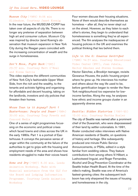# *Museum City* (1989) 8:06 min Slideshow. Courtesy Janet Koenig

In the near future, the MUSEUM-CORP has taken over all aspects of city life. There is no longer any pretense of separation between high art and consumer culture. *Museum City*  was inspired by director Janet Koenig's observation that museum expansion in New York City during the Reagan years coincided with the increasing concentration of wealth and the surge in homelessness.

# *Don't Move, Fight Back* (1985) 29:37 min. Courtesy Matt O'Neal and Elena Garcia

This video explores the different communities of New York City's fashionable Upper West Side, from the rich and the wealthy, to the tenants and activists fighting and organising for affordable and decent housing, taking on the landlords, investors and city policies that threaten their homes.

# *Whose Town is it Anyway? Part 1 Easterhouse: People and Power* (1984) 30:00 min. Courtesy Tony Freeth and Concord Media

One of a series of eight programmes focussing on the economic and political crises which faced towns and cities across the UK in the early 1980s. Part 1 is a portrait of Easterhouse. It conveys the pervasive sense of anger within the community at the failure of the authorities to get to grips with the housing and employment needs of the area and shows how residents struggled to make their voices heard.

*Home and Dry* (1987) 8.00 min. Leeds Animation Workshop. Made with financial assistance from the GLC for the Board and Lodging Information Programme. Courtesy Leeds Animation Workshop

Four women discuss their housing situations. None of them would describe themselves as homeless – after all, they've never slept out on the street. However, as they listen to each other's stories, they begin to understand that homelessness is something they've all experienced. The film analyses the inadequacies of housing policies in the UK and examines the political thinking that lies behind them.

# *Life in the G: Gowanus Gentrified* (1988) 14:31 min. Courtesy Educational Video Center (EVC), Joan Jubela, Hector Sánchez and Steven Goodman Hector Sánchez, a Brooklyn teenager, revisits

Gowanus Houses, the public housing project where he grew up. He interviews his mother and others about the way life used to be, before gentrification began to render the New York neighbourhood too expensive for lowincome families. Along the way, he analyses how ethnic and income groups cluster in an apparently diverse area.

# *Seattle: Hidden Histories* (1991–95) 13:00 min. Courtesy Martha Rosler

The city of Seattle was named after a prominent chief of the Duwamish, who were dispossessed of their land by settler-colonialists. In 1991, Rosler conducted video interviews with Native American residents of Seattle, on questions of history and heritage. She subsequently produced one-minute Public Service Announcements, or PSAs, edited in a style familiar from wedding videos. They feature contributions from among others Vi Hilbert, a Lushootseed linguist, and Roger Fernandes, Alcohol and Drug Prevention Coordinator at the Seattle Indian Health Board. At the time of the video's making, Seattle was one of America's fastest-growing cities: the subsequent tech boom has only sharpened the issues of housing and homelessness in the city.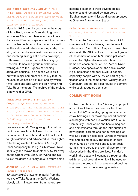# *The House that Jill Built* (1998) 14:21 min. Produced by Magda Ang, Karen Dickson and Helen Archer with Video Information Project. Courtesy Glasgow Women's Library

Made in 1998, the film documents the story of Take Root, a women's self-build group in nineties Glasgow. Here, members Adele Patrick and Sue John speak about the process and challenges faced in the project, as well as the anticipated relief on moving in day. The story after the film was made was a complex one involving misogynistic press coverage, withdrawal of support for self-building by Scottish Homes and group membership waning due to the urgency of needing adequate housing. The houses were built but with major compromises, chiefly that the houses could not be self built and by which time Adele and Sue were the only remaining Take Root members. The archive of the project is now held at GWL.

# *Chinatown Tenant Stories: The Comforts of Home* (2015) 6:09 min A project of the Asian American Oral History Collective, in collaboration with Chinatown Tenants Union of CAAAV Organizing Asian Communities. Courtesy ManSee Kong

Ten years after Mr. Wong sought the help of the Chinatown Tenants Union, he recounts the number of times he and his fellow tenants fought evictions and advocated for their rights. After being evicted from their SRO singleroom occupancy building in Chinatown, New York City and moved to another SRO far away on the Upper West Side, Mr. Wong and his fellow residents are finally able to return home.

# *Minutes* (2019) 12:30 min. Courtesy Winnie Herbstein

*Minutes* (2019) draws on material from the archive of Take Root in the GWL. Working closely with minutes taken from the group's meetings, moments were developed into scenarios and restaged by members of Slaghammers, a feminist welding group based at Glasgow Autonomous Space.

# *This is an Address* (2020) 18:00 min Courtesy Sasha Wortzel and Field of Vision

*This is an Address* is structured by a 1995 interview with Sylvia Rivera, the Stonewall veteran and Puerto Rican Gay and Trans Liberation and HIV/AIDS activist. To the background of the demolition of an NYC municipal waste incinerator, Sylvia discusses her home - a homeless encampment at The Piers of River Hudson. She speaks about the social cleansing of homeless and poor LGBTQ people, especially people with AIDS, as part of gentrification and in the name of the 'Quality of Life' Campaign, and her political refusal of comfort while such struggles continue.

# **COMMUNITY ROOM**

For her contribution to the *Life Support* project, artist Olivia Plender has been invited to respond to GWL's building, programmes and archival holdings. Her residency-based commission begins with her intervention into GWL's Community Room which she has reimagined and domesticated through the introduction of new lighting, carpets and soft furnishings, as well as a carefully selected 'Lavender Menace' wall and ceiling colour. The design of posters mounted on the walls and a large-scale curtain hung across the room draws from her discoveries in the GWL archives. Plender's work in the space will continue throughout the exhibition and beyond when it will be used to instigate the production of a new workbook as she describes in the following interview.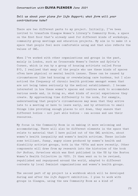#### *Conversation with* **OLIVIA PLENDER** *June 2021*

#### *Tell us about your plans for Life Support; what form will your contributions take?*

There are two different parts to my project. Initially, I've been invited to transform Glasgow Women's Library's Community Room, a space on the first floor that's already used for different kinds of workshops, community group meetings and education projects. My aim is to make it a space that people feel more comfortable using and that also reflects the values of GWL.

When I've worked with other organisations and groups in the past, mainly in London, such as Crossroads Women's Centre and Sylvia's Corner, which is run by a group of housing activists called Focus E15, I realised that many of the people who use these kinds of spaces often have physical or mental health issues. These can be caused by circumstances like bad housing or overwhelming care burdens, but I also noticed the frequency of chronic health problems amongst women that are not being taken seriously by the medical establishment. I became interested in how these women's spaces and centres work to accommodate various needs and, in doing so, what kinds of social experiences they create. By approaching time differently to the norm, for example, understanding that people's circumstances may mean that they arrive late to a meeting or have to leave early, and by attention to small things like providing enough places to sit down, they ensure that different bodies – not just able bodies – can access and use their resources.

My focus in the Community Room is on making it more welcoming and accommodating. There will also be different elements in the space that relate to material that I have pulled out of the GWL archive, about women's health inequality and women's health activism. These include some brilliant, funny, angry zines produced by women's health and disability activist groups, both in the 1970s and more recently. Other components will draw from my research into the histories of the book *Our Bodies, Ourselves* which was first published in the US by the Boston Women's Health Collective in 1970. It then went on to be revised, republished and repurposed around the world, adapted to different contexts by local feminist organisations and women's health groups.

The second part of my project is a workbook which will be developed during and after the *Life Support* exhibition. I plan to work with groups in Glasgow, using the new Community Room as a kind of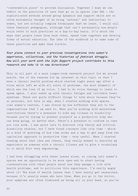'conversation piece' to provoke discussion. Together I hope we can reflect on the practices of care that go on in spaces like GWL – the sophisticated methods around group dynamics and support which are so often mistakenly thought of as being 'natural' and instinctual to women, but are actually complex techniques that we learn. I would call these feminist pedagogies, although that isn't necessarily how people would refer to such practices on a day-to-day basis. It's about the ways that people learn from each other, spend time together and develop forms of mutual education. The idea of the workbook is to name some of these practices and make them visible.

# *Your plans connect to your previous investigations into women's experience, collectives, and the histories of feminist struggle. How will your work with the Life Support project contribute to this research and take it in new directions?*

This is all part of a much longer-term research project for me around health. One of the reasons for my interest in this topic is that I have a chronic health problem which started eight years ago after a virus which left me with all sorts of problems, the most dramatic of which was the loss of my voice. I had to do voice therapy to learn to speak again. I also ended up with chronic fatigue and irritable bowel syndrome. These are quite difficult things to talk about because they're so personal, but this is why, when I started working with spaces like women's centres, I was struck by how different they are to the organisations that I am used to. When you're working with mainstream institutions there's a pressure to hide any illness or disability because you're trying to present yourself as a productive body who can keep going, no matter what. There's a pressure to conform in case you lose work. I was quite late to discover crip theory and critical disability studies, but I have found concepts like crip time – which is a kind of queering of how time works and a way to get away from the capitalist approach to productive time – very useful. When I started reading about that idea and others, they really seemed to describe my experience as someone with a chronic illness and to give a vocabulary to it which felt very empowering.

I had been struggling with these issues alone, so coming into women's spaces was an opportunity to be more open and to start having conversations with other people about how they manage a life with health problems, and to politicise this experience. I'm really angry about it! The kind of health issues that I have barely get researched, because it's usually women who have them. When you go to the doctor, your symptoms are often dismissed as being all in your head, so you're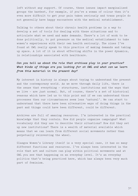left without any support. Of course, these issues impact marginalised groups the hardest, for example, if you're a woman of colour then it's even more difficult to get your pain taken seriously and trans people do not generally have happy encounters with the medical establishment.

Talking to others about their chronic health problems is a way to develop a set of tools for dealing with these situations and to articulate what we need and make demands. There's a lot of work to be done politically, to put pressure on the medical establishment to take women's experiences with their own health seriously. The zines I've found at GWL really speak to this practice of making demands and taking up space. A lot of it is about effecting shifts in the power dynamics, in relationships associated with healthcare.

# *Can you tell us about the role that archives play in your practice? What kinds of things are you looking for at GWL and what can we learn from this material in the present day?*

My interest in history is always about trying to understand the present and the contemporary world. As we move through daily life, there is the sense that everything – structures, institutions and the ways that we live – are just normal. But, of course, there's a set of historical reasons which have led us to this point and if we can understand those processes then our circumstances seem less 'natural'. We can start to understand that there have been alternative ways of doing things in the past and things could have been different, could be different.

Archives are full of amazing resources. I'm interested in the practical knowledge that they contain. How did people organise campaigns? What vocabulary did they use to describe their situations? How did they set up new institutions? There is a wealth of material available which means that we can learn from different social movements rather than perpetually reinventing the wheel.

Glasgow Women's Library itself is a very special case, it has so many different functions and resources. I've always been interested in the role that art and culture can play within political movements and at GWL you see that happening on an everyday level. It's an everyday politics that's being practiced here, which has always been very much part of feminism.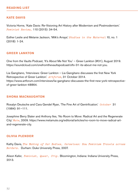# **KATE DAVIS**

Victoria Horne, 'Kate Davis: Re-Visioning Art History after Modernism and Postmodernism.' *Feminist Review,* 110 (2015): 34-54.

Esther Leslie and Melanie Jackson, 'Milk's Arrays.' *Studies in the Maternal* 10, no. 1 (2018): 1-24.

# **GREER LANKTON**

One from the Vaults Podcast, 'It's About Me Not You' – Greer Lankton (#31), August 2019. https://soundcloud.com/onefromthevaultspodcast/oftv-31-its-about-me-not-you.

Lia Gangitano, 'Interviews: Greer Lankton – Lia Gangitano discusses the first New York Retrospective of Greer Lankton.' *Artforum*, 31 October 2014. https://www.artforum.com/interviews/lia-gangitano-discusses-the-first-new-york-retrospectiveof-greer-lankton-48864.

## **SHONA MACNAUGHTON**

Rosalyn Deutsche and Cara Gendel Ryan, 'The Fine Art of Gentrification.' *October* 31 (1984): 91–111.

Josephine Berry Slater and Anthony Iles, 'No Room to Move: Radical Art and the Regenerate City.' *Mute*, 2009. https://www.metamute.org/editorial/articles/no-room-to-move-radical-artand-regenerate-city.

# **OLIVIA PLENDER**

Kathy Davis, *The Making of Our Bodies, Ourselves: How Feminism Travels across Borders.* Durham: Duke University Press, 2007.

Alison Kafer, *Feminist, Queer, Crip.* Bloomington, Indiana: Indiana University Press, 2013.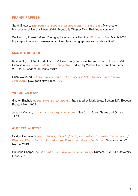### **FRANKI RAFFLES**

Sarah Browne, *The Women's Liberation Movement in Scotland.* Manchester: Manchester University Press, 2014. Especially Chapter Five, 'Building a Network'.

Weitian Liu, 'Franki Raffles: Photography as a Social Practice.' *Photomonitor*, March 2021: https://photomonitor.co.uk/essay/franki-raffles-photography-as-a-social-practice/

### **MARTHA ROSLER**

Kirsten Lloyd, 'If You Lived Here… : A Case Study on Social Reproduction in Feminist Art History.' In *Feminism and Art History Now,* edited by Victoria Horne and Lara Perry, 283–201. London: I.B. Tauris, 2017.

Brian Wallis, ed., *If You Lived Here: The City in Art, Theory, and Social Activism.* New York: New Press, 1991.

# **VERONICA RYAN**

Gaston Bachelard, *The Poetics of Space.* Translated by Maria Jolas. Boston, MA: Beacon Press, 1994 [1958].

Jamaica Kincaid, *At the Bottom of the River.* New York: Farrar, Straus and Giroux, 1983.

#### **ALBERTA WHITTLE**

Saidiya Hartman, *Wayward Lives, Beautiful Experiments: Intimate Histories of Riotous Black Girls, Troublesome Women and Queer Radicals.* New York: W. W. Norton, 2019.

Christina Sharpe, *In the Wake: On Blackness and Being.* Durham, NC: Duke University Press, 2016.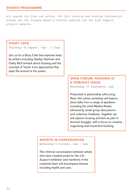# **EVENTS PROGRAMME**

*All events are free and online. For full details and booking information please see the Glasgow Women's Library website and the Life Support project website.* 

## **STORY CAFÉ**

Thursday 19 August, 1pm - 2.30pm

Join us for a Story Café that explores texts by writers including Saidiya Hartman and Cathy McCormack about housing and the concept of 'home' from approaches that span the activist to the poetic.

# **OPEN FORUM: HOUSING IS A FEMINIST ISSUE**

Wednesday 22 September, 2pm

Presented in partnership with Living Rent, this online workshop will feature short talks from a range of speakers including the artist Martha Rosler, followed by small group discussions and collective feedback. Together we will explore housing activism as part of feminist struggle, with a focus on creative organising and movement-building.

# **ARTISTS IN CONVERSATION**

Wednesday 6 October, 2pm – 4pm

This informal conversation between artists who have created works for the *Life Support* exhibition and members of the curatorial team will encompass themes including health and care.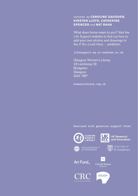# *Curated by* **CAROLINE GAUSDEN, KIRSTEN LLOYD, CATHERINE SPENCER** *and* **NAT RAHA**

What does home mean to you? Visit the *Life Support* website to find out how to add your own photos and drawings to the *If You Lived Here…* exhibition.

**lifesupport.wp.st-andrews.ac.uk**

Glasgow Women's Library 23 Landressy St **Bridgeton Glasgow** G40 1BP

**womenslibrary.org.uk**

#### **Realised with generous support from:**